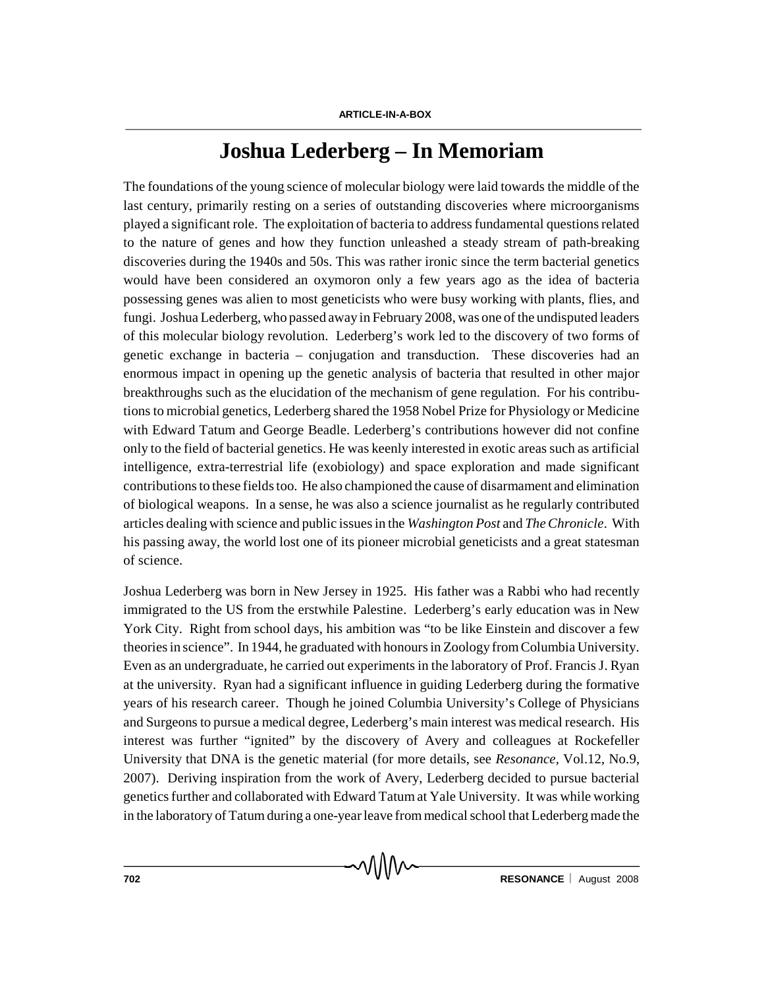## **Joshua Lederberg – In Memoriam**

The foundations of the young science of molecular biology were laid towards the middle of the last century, primarily resting on a series of outstanding discoveries where microorganisms played a significant role. The exploitation of bacteria to address fundamental questions related to the nature of genes and how they function unleashed a steady stream of path-breaking discoveries during the 1940s and 50s. This was rather ironic since the term bacterial genetics would have been considered an oxymoron only a few years ago as the idea of bacteria possessing genes was alien to most geneticists who were busy working with plants, flies, and fungi. Joshua Lederberg, who passed away in February 2008, was one of the undisputed leaders of this molecular biology revolution. Lederberg's work led to the discovery of two forms of genetic exchange in bacteria – conjugation and transduction. These discoveries had an enormous impact in opening up the genetic analysis of bacteria that resulted in other major breakthroughs such as the elucidation of the mechanism of gene regulation. For his contributions to microbial genetics, Lederberg shared the 1958 Nobel Prize for Physiology or Medicine with Edward Tatum and George Beadle. Lederberg's contributions however did not confine only to the field of bacterial genetics. He was keenly interested in exotic areas such as artificial intelligence, extra-terrestrial life (exobiology) and space exploration and made significant contributions to these fields too. He also championed the cause of disarmament and elimination of biological weapons. In a sense, he was also a science journalist as he regularly contributed articles dealing with science and public issues in the *Washington Post* and *The Chronicle*. With his passing away, the world lost one of its pioneer microbial geneticists and a great statesman of science.

Joshua Lederberg was born in New Jersey in 1925. His father was a Rabbi who had recently immigrated to the US from the erstwhile Palestine. Lederberg's early education was in New York City. Right from school days, his ambition was "to be like Einstein and discover a few theories in science". In 1944, he graduated with honours in Zoology from Columbia University. Even as an undergraduate, he carried out experiments in the laboratory of Prof. Francis J. Ryan at the university. Ryan had a significant influence in guiding Lederberg during the formative years of his research career. Though he joined Columbia University's College of Physicians and Surgeons to pursue a medical degree, Lederberg's main interest was medical research. His interest was further "ignited" by the discovery of Avery and colleagues at Rockefeller University that DNA is the genetic material (for more details, see *Resonance,* Vol.12, No.9, 2007). Deriving inspiration from the work of Avery, Lederberg decided to pursue bacterial genetics further and collaborated with Edward Tatum at Yale University. It was while working in the laboratory of Tatum during a one-year leave from medical school that Lederberg made the